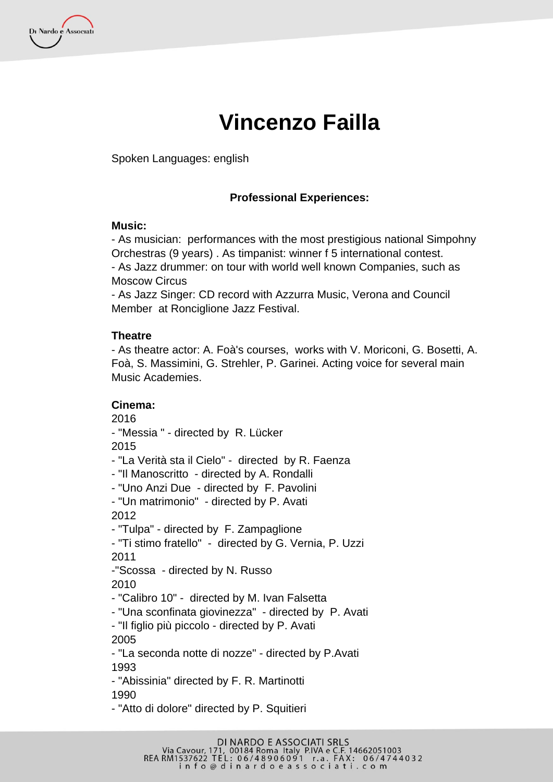Di Nardo e Associati

# **Vincenzo Failla**

Spoken Languages: english

## **Professional Experiences:**

#### **Music:**

- As musician: performances with the most prestigious national Simpohny Orchestras (9 years) . As timpanist: winner f 5 international contest. - As Jazz drummer: on tour with world well known Companies, such as Moscow Circus

- As Jazz Singer: CD record with Azzurra Music, Verona and Council Member at Ronciglione Jazz Festival.

#### **Theatre**

- As theatre actor: A. Foà's courses, works with V. Moriconi, G. Bosetti, A. Foà, S. Massimini, G. Strehler, P. Garinei. Acting voice for several main Music Academies.

#### **Cinema:**

2016 - "Messia " - directed by R. Lücker 2015 - "La Verità sta il Cielo" - directed by R. Faenza - "Il Manoscritto - directed by A. Rondalli - "Uno Anzi Due - directed by F. Pavolini - "Un matrimonio" - directed by P. Avati 2012 - "Tulpa" - directed by F. Zampaglione - "Ti stimo fratello" - directed by G. Vernia, P. Uzzi 2011 -"Scossa - directed by N. Russo 2010 - "Calibro 10" - directed by M. Ivan Falsetta - "Una sconfinata giovinezza" - directed by P. Avati - "Il figlio più piccolo - directed by P. Avati 2005 - "La seconda notte di nozze" - directed by P.Avati 1993 - "Abissinia" directed by F. R. Martinotti 1990

- "Atto di dolore" directed by P. Squitieri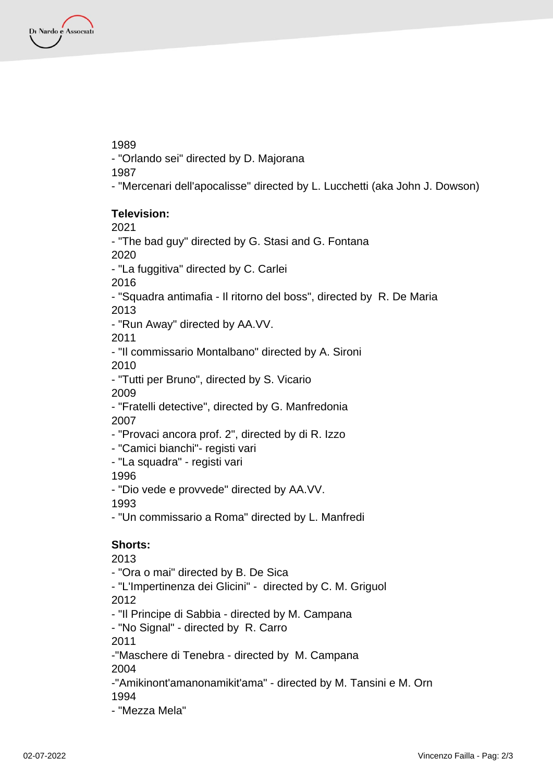Di Nardo e Associati

1989

- "Orlando sei" directed by D. Majorana

1987

- "Mercenari dell'apocalisse" directed by L. Lucchetti (aka John J. Dowson)

## **Television:**

2021

- "The bad guy" directed by G. Stasi and G. Fontana

2020

- "La fuggitiva" directed by C. Carlei

2016

- "Squadra antimafia - Il ritorno del boss", directed by R. De Maria 2013

- "Run Away" directed by AA.VV.

2011

- "Il commissario Montalbano" directed by A. Sironi

2010

- "Tutti per Bruno", directed by S. Vicario 2009

- "Fratelli detective", directed by G. Manfredonia 2007

- "Provaci ancora prof. 2", directed by di R. Izzo

- "Camici bianchi"- registi vari

- "La squadra" - registi vari

1996

- "Dio vede e provvede" directed by AA.VV.

1993

- "Un commissario a Roma" directed by L. Manfredi

# **Shorts:**

2013

- "Ora o mai" directed by B. De Sica

- "L'Impertinenza dei Glicini" - directed by C. M. Griguol 2012

- "Il Principe di Sabbia - directed by M. Campana

- "No Signal" - directed by R. Carro

2011

-"Maschere di Tenebra - directed by M. Campana

2004

-"Amikinont'amanonamikit'ama" - directed by M. Tansini e M. Orn 1994

- "Mezza Mela"